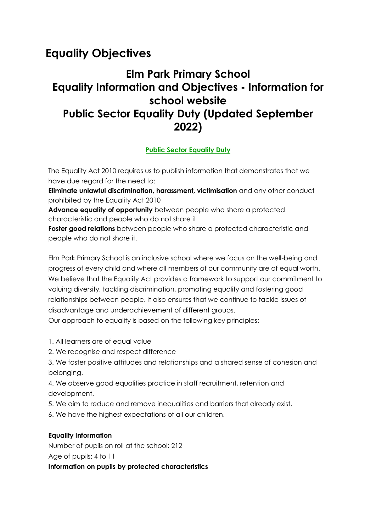# **[Equality Objectives](https://www.ridgewayprimaryschool.org.uk/about_our_school/equality_objectives/)**

# **Elm Park Primary School Equality Information and Objectives - Information for school website Public Sector Equality Duty (Updated September 2022)**

## **[Public Sector Equality Duty](https://www.gov.uk/government/publications/public-sector-equality-duty)**

The Equality Act 2010 requires us to publish information that demonstrates that we have due regard for the need to:

 **Eliminate unlawful discrimination, harassment, victimisation** and any other conduct prohibited by the Equality Act 2010

 **Advance equality of opportunity** between people who share a protected characteristic and people who do not share it

 **Foster good relations** between people who share a protected characteristic and people who do not share it.

Elm Park Primary School is an inclusive school where we focus on the well-being and progress of every child and where all members of our community are of equal worth. We believe that the Equality Act provides a framework to support our commitment to valuing diversity, tackling discrimination, promoting equality and fostering good relationships between people. It also ensures that we continue to tackle issues of disadvantage and underachievement of different groups.

Our approach to equality is based on the following key principles:

1. All learners are of equal value

2. We recognise and respect difference

3. We foster positive attitudes and relationships and a shared sense of cohesion and belonging.

4. We observe good equalities practice in staff recruitment, retention and development.

5. We aim to reduce and remove inequalities and barriers that already exist.

6. We have the highest expectations of all our children.

#### **Equality Information**

Number of pupils on roll at the school: 212 Age of pupils: 4 to 11 **Information on pupils by protected characteristics**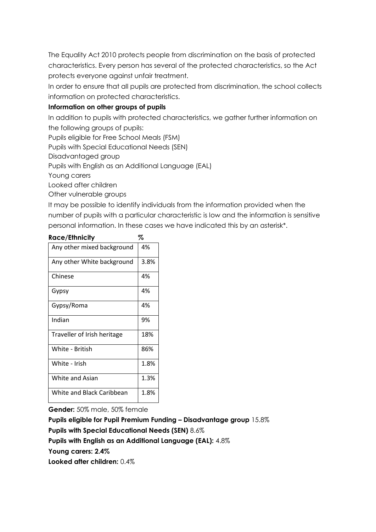The Equality Act 2010 protects people from discrimination on the basis of protected characteristics. Every person has several of the protected characteristics, so the Act protects everyone against unfair treatment.

In order to ensure that all pupils are protected from discrimination, the school collects information on protected characteristics.

#### **Information on other groups of pupils**

In addition to pupils with protected characteristics, we gather further information on the following groups of pupils:

Pupils eligible for Free School Meals (FSM)

Pupils with Special Educational Needs (SEN)

Disadvantaged group

Pupils with English as an Additional Language (EAL)

Young carers

Looked after children

Other vulnerable groups

It may be possible to identify individuals from the information provided when the number of pupils with a particular characteristic is low and the information is sensitive personal information. In these cases we have indicated this by an asterisk\*.

| Race/Ethnicity              | %    |
|-----------------------------|------|
| Any other mixed background  | 4%   |
| Any other White background  | 3.8% |
| Chinese                     | 4%   |
| Gypsy                       | 4%   |
| Gypsy/Roma                  | 4%   |
| Indian                      | 9%   |
| Traveller of Irish heritage | 18%  |
| White - British             | 86%  |
| White - Irish               | 1.8% |
| White and Asian             | 1.3% |
| White and Black Caribbean   | 1.8% |

**Gender:** 50% male, 50% female

**Pupils eligible for Pupil Premium Funding – Disadvantage group** 15.8% **Pupils with Special Educational Needs (SEN)** 8.6%

**Pupils with English as an Additional Language (EAL):** 4.8%

**Young carers: 2.4%**

**Looked after children:** 0.4%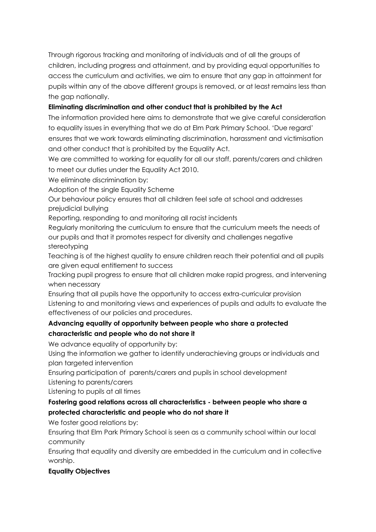Through rigorous tracking and monitoring of individuals and of all the groups of children, including progress and attainment, and by providing equal opportunities to access the curriculum and activities, we aim to ensure that any gap in attainment for pupils within any of the above different groups is removed, or at least remains less than the gap nationally.

### **Eliminating discrimination and other conduct that is prohibited by the Act**

The information provided here aims to demonstrate that we give careful consideration to equality issues in everything that we do at Elm Park Primary School. 'Due regard' ensures that we work towards eliminating discrimination, harassment and victimisation and other conduct that is prohibited by the Equality Act.

We are committed to working for equality for all our staff, parents/carers and children to meet our duties under the Equality Act 2010.

We eliminate discrimination by:

Adoption of the single Equality Scheme

 Our behaviour policy ensures that all children feel safe at school and addresses prejudicial bullying

Reporting, responding to and monitoring all racist incidents

 Regularly monitoring the curriculum to ensure that the curriculum meets the needs of our pupils and that it promotes respect for diversity and challenges negative stereotyping

 Teaching is of the highest quality to ensure children reach their potential and all pupils are given equal entitlement to success

 Tracking pupil progress to ensure that all children make rapid progress, and intervening when necessary

 Ensuring that all pupils have the opportunity to access extra-curricular provision Listening to and monitoring views and experiences of pupils and adults to evaluate the effectiveness of our policies and procedures.

## **Advancing equality of opportunity between people who share a protected characteristic and people who do not share it**

We advance equality of opportunity by:

 Using the information we gather to identify underachieving groups or individuals and plan targeted intervention

 Ensuring participation of parents/carers and pupils in school development Listening to parents/carers

Listening to pupils at all times

## **Fostering good relations across all characteristics - between people who share a protected characteristic and people who do not share it**

We foster good relations by:

 Ensuring that Elm Park Primary School is seen as a community school within our local community

 Ensuring that equality and diversity are embedded in the curriculum and in collective worship.

## **Equality Objectives**